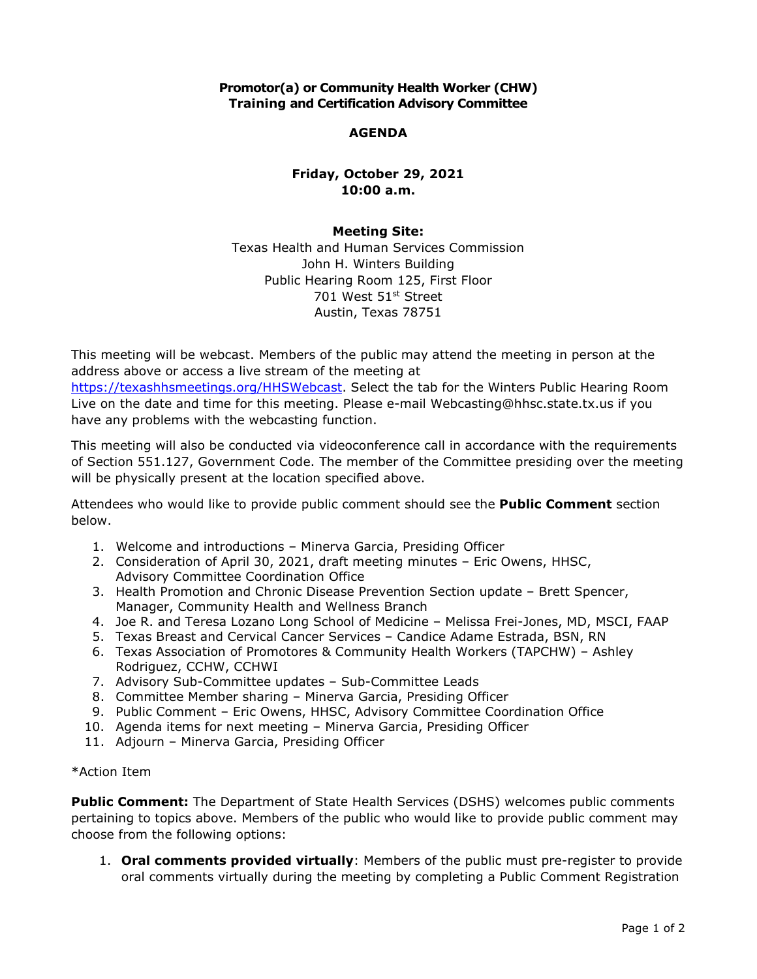## **Promotor(a) or Community Health Worker (CHW) Training and Certification Advisory Committee**

## **AGENDA**

# **Friday, October 29, 2021 10:00 a.m.**

### **Meeting Site:**

 Texas Health and Human Services Commission John H. Winters Building Public Hearing Room 125, First Floor 701 West 51st Street Austin, Texas 78751

 This meeting will be webcast. Members of the public may attend the meeting in person at the address above or access a live stream of the meeting at [https://texashhsmeetings.org/HHSWebcast.](https://texashhsmeetings.org/HHSWebcast) Select the tab for the Winters Public Hearing Room Live on the date and time for this meeting. Please e-mail [Webcasting@hhsc.state.tx.us](mailto:Webcasting@hhsc.state.tx.us) if you have any problems with the webcasting function.

 This meeting will also be conducted via videoconference call in accordance with the requirements of Section 551.127, Government Code. The member of the Committee presiding over the meeting will be physically present at the location specified above.

 Attendees who would like to provide public comment should see the **Public Comment** section below.

- 1. Welcome and introductions Minerva Garcia, Presiding Officer
- 2. Consideration of April 30, 2021, draft meeting minutes Eric Owens, HHSC, Advisory Committee Coordination Office
- 3. Health Promotion and Chronic Disease Prevention Section update Brett Spencer, Manager, Community Health and Wellness Branch
- 4. Joe R. and Teresa Lozano Long School of Medicine Melissa Frei-Jones, MD, MSCI, FAAP
- 5. Texas Breast and Cervical Cancer Services Candice Adame Estrada, BSN, RN
- 6. Texas Association of Promotores & Community Health Workers (TAPCHW) Ashley Rodriguez, CCHW, CCHWI
- 7. Advisory Sub-Committee updates Sub-Committee Leads
- 8. Committee Member sharing Minerva Garcia, Presiding Officer
- 9. Public Comment Eric Owens, HHSC, Advisory Committee Coordination Office
- 10. Agenda items for next meeting Minerva Garcia, Presiding Officer
- 11. Adjourn Minerva Garcia, Presiding Officer

#### \*Action Item

 **Public Comment:** The Department of State Health Services (DSHS) welcomes public comments pertaining to topics above. Members of the public who would like to provide public comment may choose from the following options:

 1. **Oral comments provided virtually**: Members of the public must pre-register to provide oral comments virtually during the meeting by completing a Public Comment Registration